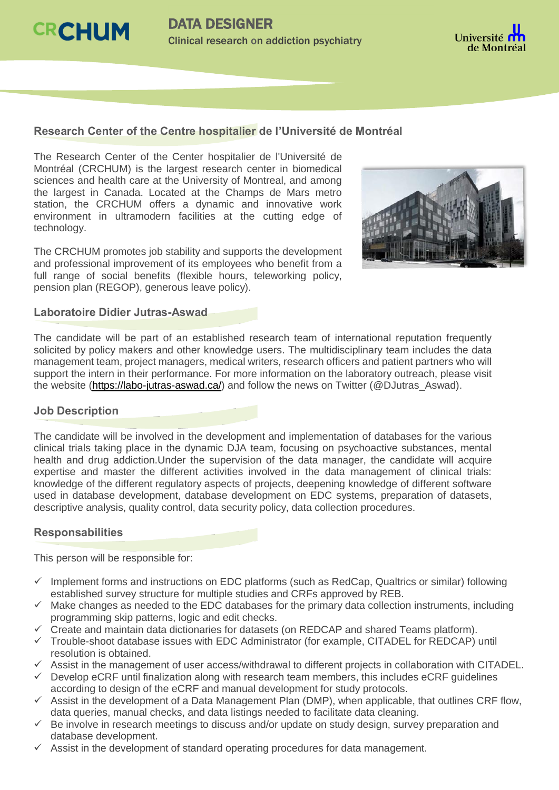



#### **Research Center of the Centre hospitalier de l'Université de Montréal**

The Research Center of the Center hospitalier de l'Université de Montréal (CRCHUM) is the largest research center in biomedical sciences and health care at the University of Montreal, and among the largest in Canada. Located at the Champs de Mars metro station, the CRCHUM offers a dynamic and innovative work environment in ultramodern facilities at the cutting edge of technology.

The CRCHUM promotes job stability and supports the development and professional improvement of its employees who benefit from a full range of social benefits (flexible hours, teleworking policy, pension plan (REGOP), generous leave policy).



#### **Laboratoire Didier Jutras-Aswad**

The candidate will be part of an established research team of international reputation frequently solicited by policy makers and other knowledge users. The multidisciplinary team includes the data management team, project managers, medical writers, research officers and patient partners who will support the intern in their performance. For more information on the laboratory outreach, please visit the website [\(https://labo-jutras-aswad.ca/\)](https://labo-jutras-aswad.ca/) and follow the news on Twitter (@DJutras\_Aswad).

#### **Job Description**

The candidate will be involved in the development and implementation of databases for the various clinical trials taking place in the dynamic DJA team, focusing on psychoactive substances, mental health and drug addiction.Under the supervision of the data manager, the candidate will acquire expertise and master the different activities involved in the data management of clinical trials: knowledge of the different regulatory aspects of projects, deepening knowledge of different software used in database development, database development on EDC systems, preparation of datasets, descriptive analysis, quality control, data security policy, data collection procedures.

#### **Responsabilities**

This person will be responsible for:

- $\checkmark$  Implement forms and instructions on EDC platforms (such as RedCap, Qualtrics or similar) following established survey structure for multiple studies and CRFs approved by REB.
- $\checkmark$  Make changes as needed to the EDC databases for the primary data collection instruments, including programming skip patterns, logic and edit checks.
- $\checkmark$  Create and maintain data dictionaries for datasets (on REDCAP and shared Teams platform).
- $\checkmark$  Trouble-shoot database issues with EDC Administrator (for example, CITADEL for REDCAP) until resolution is obtained.
- $\checkmark$  Assist in the management of user access/withdrawal to different projects in collaboration with CITADEL.
- $\checkmark$  Develop eCRF until finalization along with research team members, this includes eCRF guidelines according to design of the eCRF and manual development for study protocols.
- $\checkmark$  Assist in the development of a Data Management Plan (DMP), when applicable, that outlines CRF flow, data queries, manual checks, and data listings needed to facilitate data cleaning.
- $\checkmark$  Be involve in research meetings to discuss and/or update on study design, survey preparation and database development.
- $\checkmark$  Assist in the development of standard operating procedures for data management.